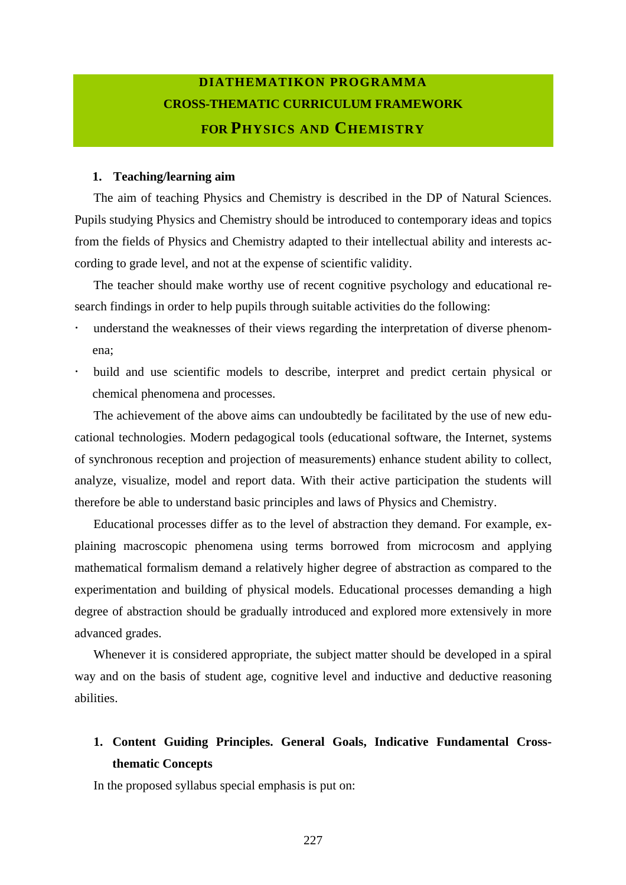# **DIATHEMATIKON PROGRAMMA CROSS-THEMATIC CURRICULUM FRAMEWORK FOR PHYSICS AND CHEMISTRY**

#### **1. Teaching/learning aim**

The aim of teaching Physics and Chemistry is described in the DP of Natural Sciences. Pupils studying Physics and Chemistry should be introduced to contemporary ideas and topics from the fields of Physics and Chemistry adapted to their intellectual ability and interests according to grade level, and not at the expense of scientific validity.

The teacher should make worthy use of recent cognitive psychology and educational research findings in order to help pupils through suitable activities do the following:

- understand the weaknesses of their views regarding the interpretation of diverse phenomena;
- build and use scientific models to describe, interpret and predict certain physical or chemical phenomena and processes.

The achievement of the above aims can undoubtedly be facilitated by the use of new educational technologies. Modern pedagogical tools (educational software, the Internet, systems of synchronous reception and projection of measurements) enhance student ability to collect, analyze, visualize, model and report data. With their active participation the students will therefore be able to understand basic principles and laws of Physics and Chemistry.

Educational processes differ as to the level of abstraction they demand. For example, explaining macroscopic phenomena using terms borrowed from microcosm and applying mathematical formalism demand a relatively higher degree of abstraction as compared to the experimentation and building of physical models. Educational processes demanding a high degree of abstraction should be gradually introduced and explored more extensively in more advanced grades.

Whenever it is considered appropriate, the subject matter should be developed in a spiral way and on the basis of student age, cognitive level and inductive and deductive reasoning abilities.

#### **1. Content Guiding Principles. General Goals, Indicative Fundamental Crossthematic Concepts**

In the proposed syllabus special emphasis is put on: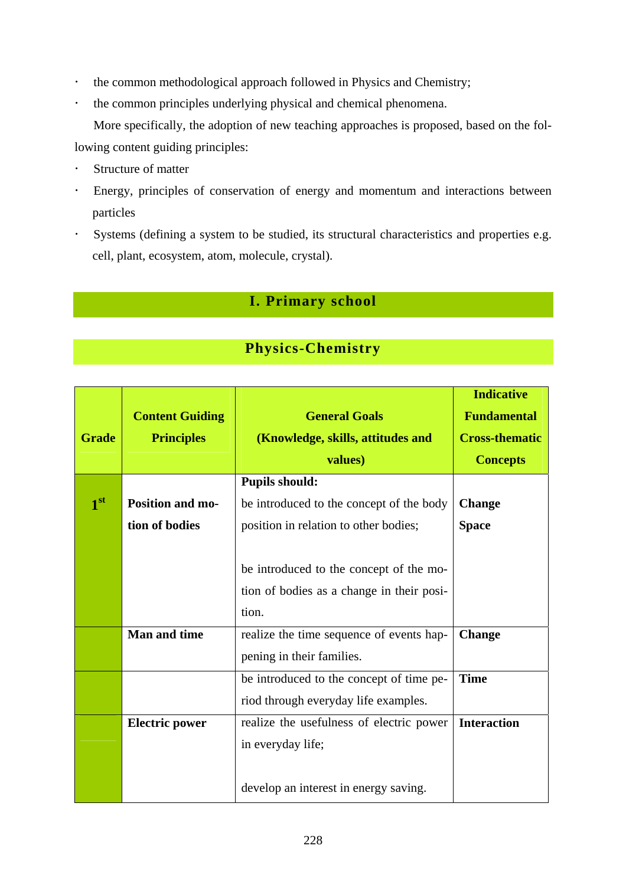- ! the common methodological approach followed in Physics and Chemistry;
- ! the common principles underlying physical and chemical phenomena.

More specifically, the adoption of new teaching approaches is proposed, based on the following content guiding principles:

- Structure of matter
- ! Energy, principles of conservation of energy and momentum and interactions between particles
- ! Systems (defining a system to be studied, its structural characteristics and properties e.g. cell, plant, ecosystem, atom, molecule, crystal).

### **I. Primary school**

### **Physics-Chemistry**

|                 |                         |                                           | <b>Indicative</b>     |
|-----------------|-------------------------|-------------------------------------------|-----------------------|
|                 | <b>Content Guiding</b>  | <b>General Goals</b>                      | <b>Fundamental</b>    |
| <b>Grade</b>    | <b>Principles</b>       | (Knowledge, skills, attitudes and         | <b>Cross-thematic</b> |
|                 |                         | values)                                   | <b>Concepts</b>       |
|                 |                         | <b>Pupils should:</b>                     |                       |
| 1 <sup>st</sup> | <b>Position and mo-</b> | be introduced to the concept of the body  | <b>Change</b>         |
|                 | tion of bodies          | position in relation to other bodies;     | <b>Space</b>          |
|                 |                         |                                           |                       |
|                 |                         | be introduced to the concept of the mo-   |                       |
|                 |                         | tion of bodies as a change in their posi- |                       |
|                 |                         | tion.                                     |                       |
|                 | <b>Man and time</b>     | realize the time sequence of events hap-  | <b>Change</b>         |
|                 |                         | pening in their families.                 |                       |
|                 |                         | be introduced to the concept of time pe-  | <b>Time</b>           |
|                 |                         | riod through everyday life examples.      |                       |
|                 | <b>Electric power</b>   | realize the usefulness of electric power  | <b>Interaction</b>    |
|                 |                         | in everyday life;                         |                       |
|                 |                         |                                           |                       |
|                 |                         | develop an interest in energy saving.     |                       |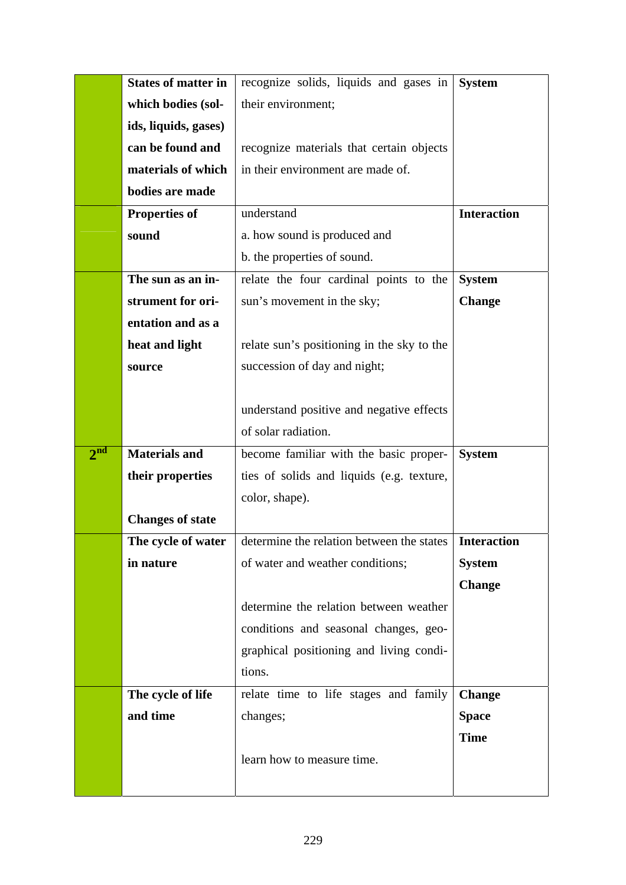|                 | <b>States of matter in</b> | recognize solids, liquids and gases in                  | <b>System</b>      |
|-----------------|----------------------------|---------------------------------------------------------|--------------------|
|                 | which bodies (sol-         | their environment;                                      |                    |
|                 | ids, liquids, gases)       |                                                         |                    |
|                 | can be found and           | recognize materials that certain objects                |                    |
|                 | materials of which         | in their environment are made of.                       |                    |
|                 | bodies are made            |                                                         |                    |
|                 | <b>Properties of</b>       | understand                                              | <b>Interaction</b> |
|                 | sound                      | a. how sound is produced and                            |                    |
|                 |                            | b. the properties of sound.                             |                    |
|                 | The sun as an in-          | relate the four cardinal points to the                  | <b>System</b>      |
|                 | strument for ori-          | sun's movement in the sky;                              | <b>Change</b>      |
|                 | entation and as a          |                                                         |                    |
|                 | heat and light             | relate sun's positioning in the sky to the              |                    |
|                 | source                     | succession of day and night;                            |                    |
|                 |                            |                                                         |                    |
|                 |                            | understand positive and negative effects                |                    |
|                 |                            | of solar radiation.                                     |                    |
| 2 <sup>nd</sup> | <b>Materials and</b>       | become familiar with the basic proper-                  | <b>System</b>      |
|                 | their properties           | ties of solids and liquids (e.g. texture,               |                    |
|                 |                            | color, shape).                                          |                    |
|                 | <b>Changes of state</b>    |                                                         |                    |
|                 | The cycle of water         | determine the relation between the states   Interaction |                    |
|                 | in nature                  | of water and weather conditions;                        | <b>System</b>      |
|                 |                            |                                                         | <b>Change</b>      |
|                 |                            | determine the relation between weather                  |                    |
|                 |                            | conditions and seasonal changes, geo-                   |                    |
|                 |                            | graphical positioning and living condi-                 |                    |
|                 |                            | tions.                                                  |                    |
|                 | The cycle of life          | relate time to life stages and family                   | <b>Change</b>      |
|                 | and time                   | changes;                                                | <b>Space</b>       |
|                 |                            |                                                         | <b>Time</b>        |
|                 |                            | learn how to measure time.                              |                    |
|                 |                            |                                                         |                    |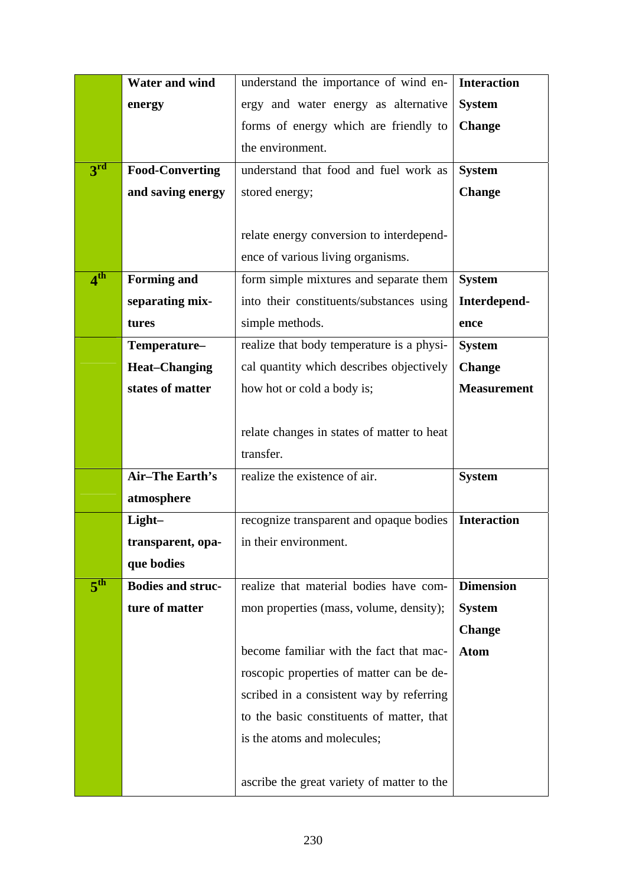|                            | <b>Water and wind</b>    | understand the importance of wind en-      | <b>Interaction</b> |
|----------------------------|--------------------------|--------------------------------------------|--------------------|
|                            | energy                   | ergy and water energy as alternative       | <b>System</b>      |
|                            |                          | forms of energy which are friendly to      | <b>Change</b>      |
|                            |                          | the environment.                           |                    |
| $3^{\overline{\text{rd}}}$ | <b>Food-Converting</b>   | understand that food and fuel work as      | <b>System</b>      |
|                            | and saving energy        | stored energy;                             | <b>Change</b>      |
|                            |                          |                                            |                    |
|                            |                          | relate energy conversion to interdepend-   |                    |
|                            |                          | ence of various living organisms.          |                    |
| 4 <sup>th</sup>            | <b>Forming and</b>       | form simple mixtures and separate them     | <b>System</b>      |
|                            | separating mix-          | into their constituents/substances using   | Interdepend-       |
|                            | tures                    | simple methods.                            | ence               |
|                            | Temperature-             | realize that body temperature is a physi-  | <b>System</b>      |
|                            | <b>Heat-Changing</b>     | cal quantity which describes objectively   | <b>Change</b>      |
|                            | states of matter         | how hot or cold a body is;                 | <b>Measurement</b> |
|                            |                          |                                            |                    |
|                            |                          | relate changes in states of matter to heat |                    |
|                            |                          | transfer.                                  |                    |
|                            | <b>Air-The Earth's</b>   | realize the existence of air.              | <b>System</b>      |
|                            | atmosphere               |                                            |                    |
|                            | Light-                   | recognize transparent and opaque bodies    | <b>Interaction</b> |
|                            | transparent, opa-        | in their environment.                      |                    |
|                            | que bodies               |                                            |                    |
| 5 <sup>th</sup>            | <b>Bodies and struc-</b> | realize that material bodies have com-     | <b>Dimension</b>   |
|                            | ture of matter           | mon properties (mass, volume, density);    | <b>System</b>      |
|                            |                          |                                            | <b>Change</b>      |
|                            |                          | become familiar with the fact that mac-    | <b>Atom</b>        |
|                            |                          | roscopic properties of matter can be de-   |                    |
|                            |                          | scribed in a consistent way by referring   |                    |
|                            |                          | to the basic constituents of matter, that  |                    |
|                            |                          | is the atoms and molecules;                |                    |
|                            |                          |                                            |                    |
|                            |                          | ascribe the great variety of matter to the |                    |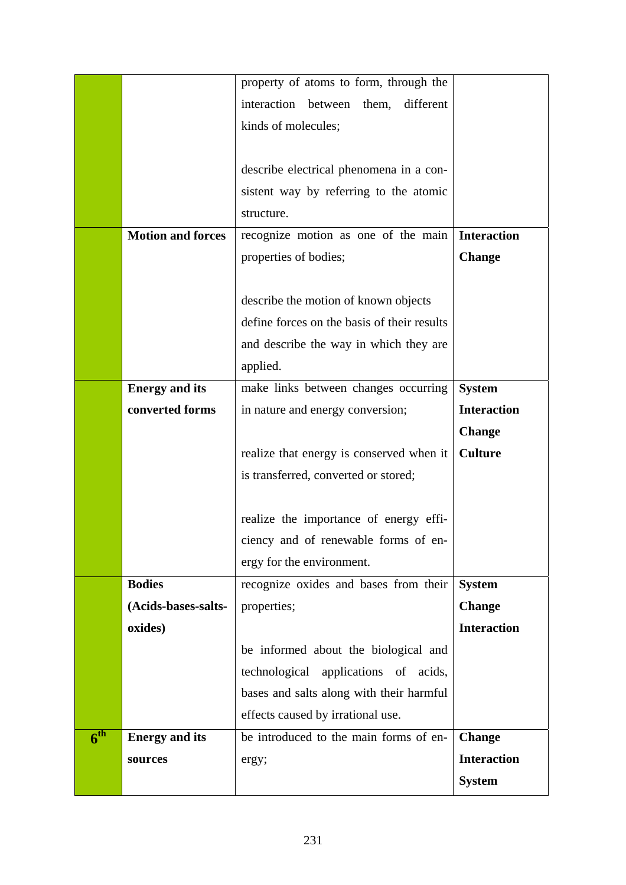|                 |                          | property of atoms to form, through the       |                    |
|-----------------|--------------------------|----------------------------------------------|--------------------|
|                 |                          | interaction<br>between<br>them,<br>different |                    |
|                 |                          | kinds of molecules;                          |                    |
|                 |                          |                                              |                    |
|                 |                          | describe electrical phenomena in a con-      |                    |
|                 |                          | sistent way by referring to the atomic       |                    |
|                 |                          | structure.                                   |                    |
|                 | <b>Motion and forces</b> | recognize motion as one of the main          | <b>Interaction</b> |
|                 |                          | properties of bodies;                        | <b>Change</b>      |
|                 |                          |                                              |                    |
|                 |                          | describe the motion of known objects         |                    |
|                 |                          | define forces on the basis of their results  |                    |
|                 |                          | and describe the way in which they are       |                    |
|                 |                          | applied.                                     |                    |
|                 | <b>Energy and its</b>    | make links between changes occurring         | <b>System</b>      |
|                 | converted forms          | in nature and energy conversion;             | <b>Interaction</b> |
|                 |                          |                                              | <b>Change</b>      |
|                 |                          | realize that energy is conserved when it     | <b>Culture</b>     |
|                 |                          | is transferred, converted or stored;         |                    |
|                 |                          |                                              |                    |
|                 |                          | realize the importance of energy effi-       |                    |
|                 |                          | ciency and of renewable forms of en-         |                    |
|                 |                          | ergy for the environment.                    |                    |
|                 | <b>Bodies</b>            | recognize oxides and bases from their        | <b>System</b>      |
|                 | (Acids-bases-salts-      | properties;                                  | <b>Change</b>      |
|                 | oxides)                  |                                              | <b>Interaction</b> |
|                 |                          | be informed about the biological and         |                    |
|                 |                          | technological applications of acids,         |                    |
|                 |                          | bases and salts along with their harmful     |                    |
|                 |                          | effects caused by irrational use.            |                    |
| 6 <sup>th</sup> | <b>Energy and its</b>    | be introduced to the main forms of en-       | <b>Change</b>      |
|                 | sources                  | ergy;                                        | <b>Interaction</b> |
|                 |                          |                                              | <b>System</b>      |
|                 |                          |                                              |                    |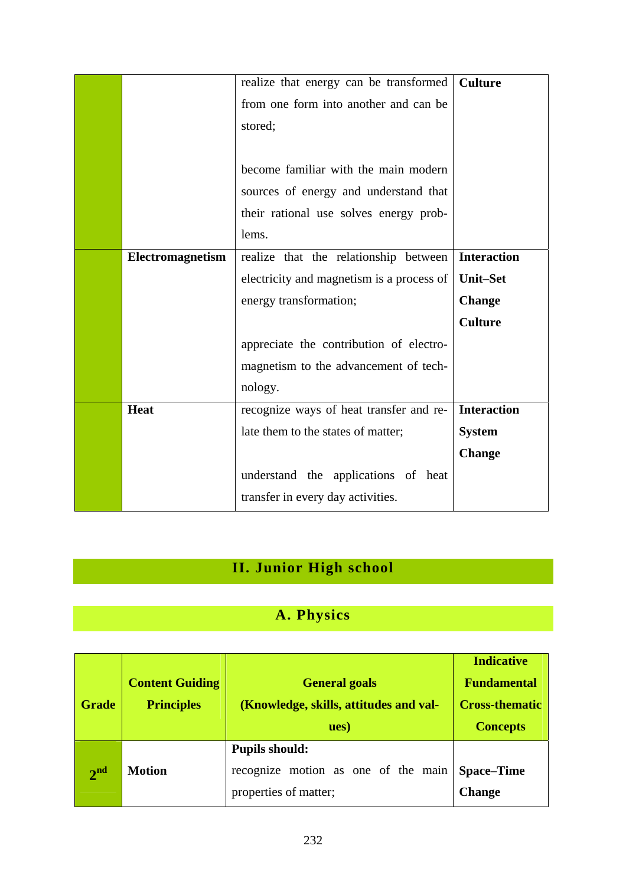|                  | realize that energy can be transformed    | <b>Culture</b>     |
|------------------|-------------------------------------------|--------------------|
|                  | from one form into another and can be     |                    |
|                  | stored;                                   |                    |
|                  |                                           |                    |
|                  | become familiar with the main modern      |                    |
|                  | sources of energy and understand that     |                    |
|                  | their rational use solves energy prob-    |                    |
|                  | lems.                                     |                    |
| Electromagnetism | realize that the relationship between     | <b>Interaction</b> |
|                  | electricity and magnetism is a process of | <b>Unit–Set</b>    |
|                  | energy transformation;                    | <b>Change</b>      |
|                  |                                           | <b>Culture</b>     |
|                  | appreciate the contribution of electro-   |                    |
|                  | magnetism to the advancement of tech-     |                    |
|                  | nology.                                   |                    |
| <b>Heat</b>      | recognize ways of heat transfer and re-   | <b>Interaction</b> |
|                  | late them to the states of matter;        | <b>System</b>      |
|                  |                                           | <b>Change</b>      |
|                  | understand the applications of heat       |                    |
|                  | transfer in every day activities.         |                    |

## **II. Junior High school**

## **A. Physics**

|                 |                        |                                        | <b>Indicative</b>     |
|-----------------|------------------------|----------------------------------------|-----------------------|
|                 | <b>Content Guiding</b> | <b>General goals</b>                   | <b>Fundamental</b>    |
| <b>Grade</b>    | <b>Principles</b>      | (Knowledge, skills, attitudes and val- | <b>Cross-thematic</b> |
|                 |                        | ues)                                   | <b>Concepts</b>       |
|                 |                        | <b>Pupils should:</b>                  |                       |
| 2 <sup>nd</sup> | <b>Motion</b>          | recognize motion as one of the main    | <b>Space–Time</b>     |
|                 |                        | properties of matter;                  | <b>Change</b>         |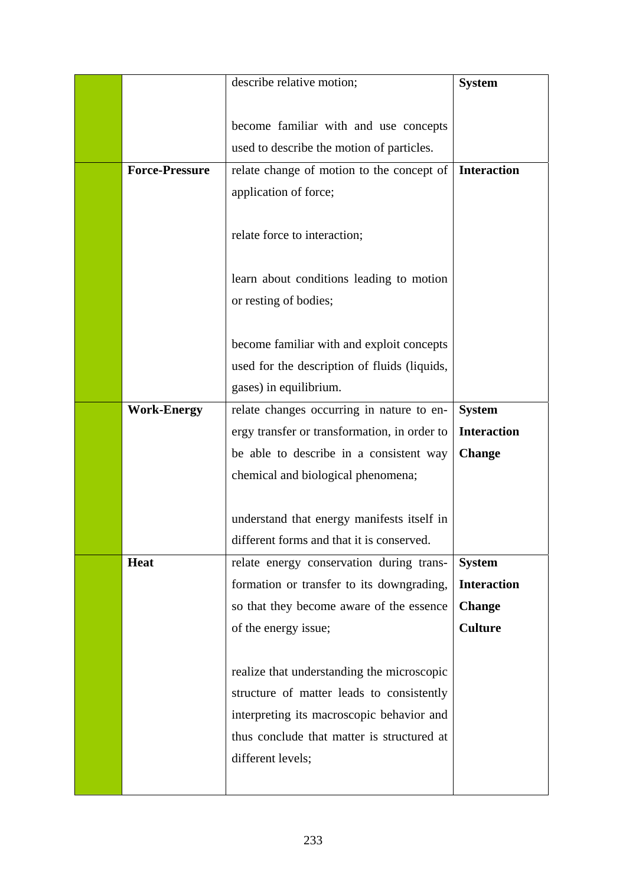|                       | describe relative motion;                    | <b>System</b>      |
|-----------------------|----------------------------------------------|--------------------|
|                       |                                              |                    |
|                       | become familiar with and use concepts        |                    |
|                       | used to describe the motion of particles.    |                    |
| <b>Force-Pressure</b> | relate change of motion to the concept of    | <b>Interaction</b> |
|                       | application of force;                        |                    |
|                       |                                              |                    |
|                       | relate force to interaction;                 |                    |
|                       |                                              |                    |
|                       | learn about conditions leading to motion     |                    |
|                       | or resting of bodies;                        |                    |
|                       |                                              |                    |
|                       | become familiar with and exploit concepts    |                    |
|                       | used for the description of fluids (liquids, |                    |
|                       | gases) in equilibrium.                       |                    |
| <b>Work-Energy</b>    | relate changes occurring in nature to en-    | <b>System</b>      |
|                       | ergy transfer or transformation, in order to | <b>Interaction</b> |
|                       | be able to describe in a consistent way      | <b>Change</b>      |
|                       | chemical and biological phenomena;           |                    |
|                       |                                              |                    |
|                       | understand that energy manifests itself in   |                    |
|                       | different forms and that it is conserved.    |                    |
| <b>Heat</b>           | relate energy conservation during trans-     | <b>System</b>      |
|                       | formation or transfer to its downgrading,    | <b>Interaction</b> |
|                       | so that they become aware of the essence     | <b>Change</b>      |
|                       | of the energy issue;                         | <b>Culture</b>     |
|                       |                                              |                    |
|                       | realize that understanding the microscopic   |                    |
|                       | structure of matter leads to consistently    |                    |
|                       | interpreting its macroscopic behavior and    |                    |
|                       | thus conclude that matter is structured at   |                    |
|                       | different levels;                            |                    |
|                       |                                              |                    |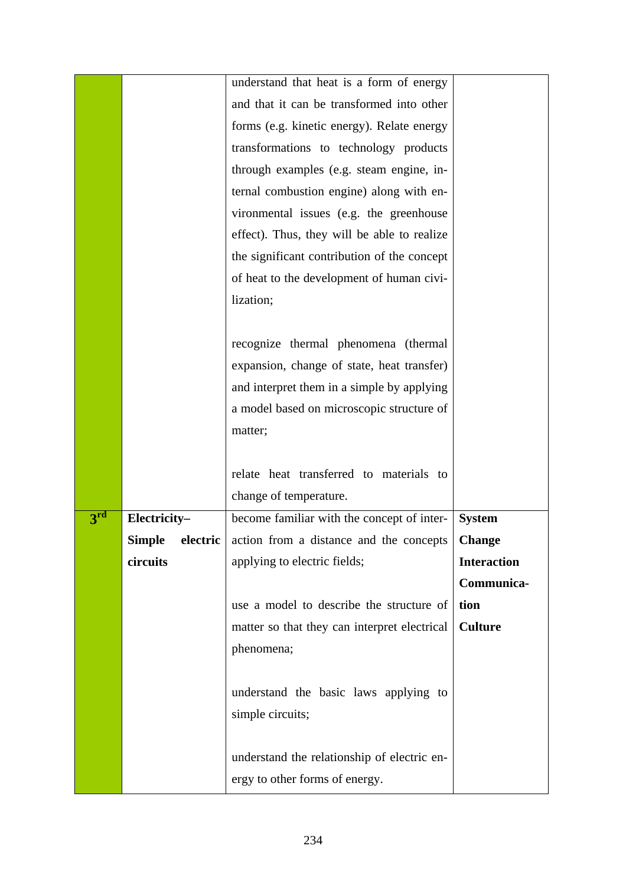|                 |              | understand that heat is a form of energy                       |                    |
|-----------------|--------------|----------------------------------------------------------------|--------------------|
|                 |              | and that it can be transformed into other                      |                    |
|                 |              | forms (e.g. kinetic energy). Relate energy                     |                    |
|                 |              | transformations to technology products                         |                    |
|                 |              | through examples (e.g. steam engine, in-                       |                    |
|                 |              | ternal combustion engine) along with en-                       |                    |
|                 |              | vironmental issues (e.g. the greenhouse                        |                    |
|                 |              | effect). Thus, they will be able to realize                    |                    |
|                 |              | the significant contribution of the concept                    |                    |
|                 |              | of heat to the development of human civi-                      |                    |
|                 |              | lization;                                                      |                    |
|                 |              |                                                                |                    |
|                 |              | recognize thermal phenomena (thermal                           |                    |
|                 |              | expansion, change of state, heat transfer)                     |                    |
|                 |              | and interpret them in a simple by applying                     |                    |
|                 |              | a model based on microscopic structure of                      |                    |
|                 |              | matter;                                                        |                    |
|                 |              |                                                                |                    |
|                 |              | relate heat transferred to materials to                        |                    |
|                 |              | change of temperature.                                         |                    |
| 3 <sup>rd</sup> | Electricity- | become familiar with the concept of inter-                     | <b>System</b>      |
|                 |              | <b>Simple</b> electric action from a distance and the concepts | <b>Change</b>      |
|                 | circuits     | applying to electric fields;                                   | <b>Interaction</b> |
|                 |              |                                                                | Communica-         |
|                 |              | use a model to describe the structure of                       | tion               |
|                 |              | matter so that they can interpret electrical                   | <b>Culture</b>     |
|                 |              | phenomena;                                                     |                    |
|                 |              |                                                                |                    |
|                 |              | understand the basic laws applying to                          |                    |
|                 |              | simple circuits;                                               |                    |
|                 |              |                                                                |                    |
|                 |              | understand the relationship of electric en-                    |                    |
|                 |              | ergy to other forms of energy.                                 |                    |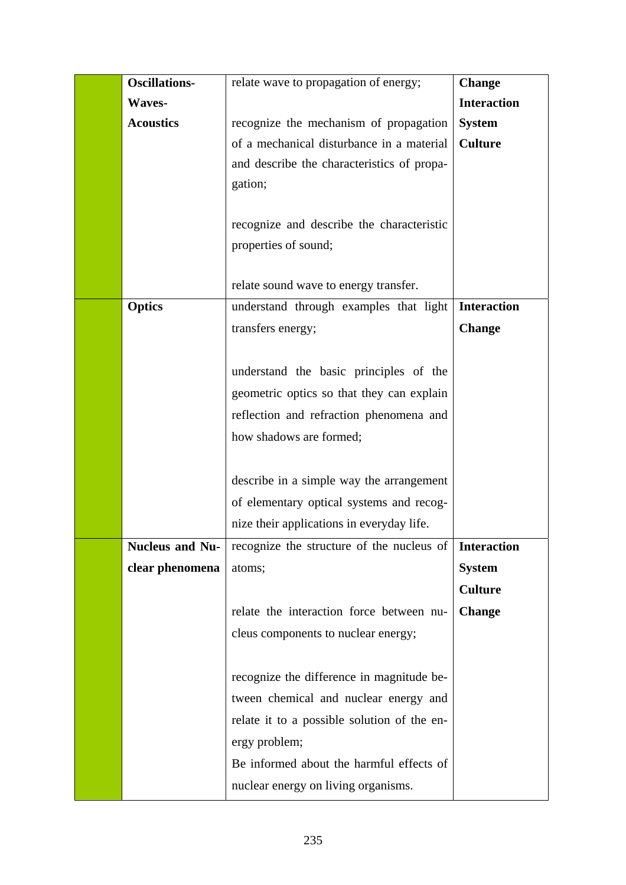| <b>Oscillations-</b><br>relate wave to propagation of energy;       | <b>Change</b>      |
|---------------------------------------------------------------------|--------------------|
| <b>Waves-</b>                                                       | <b>Interaction</b> |
| <b>Acoustics</b><br>recognize the mechanism of propagation          | <b>System</b>      |
| of a mechanical disturbance in a material                           | <b>Culture</b>     |
| and describe the characteristics of propa-                          |                    |
| gation;                                                             |                    |
|                                                                     |                    |
| recognize and describe the characteristic                           |                    |
| properties of sound;                                                |                    |
|                                                                     |                    |
| relate sound wave to energy transfer.                               |                    |
| <b>Optics</b><br>understand through examples that light             | <b>Interaction</b> |
| transfers energy;                                                   | <b>Change</b>      |
|                                                                     |                    |
| understand the basic principles of the                              |                    |
| geometric optics so that they can explain                           |                    |
| reflection and refraction phenomena and                             |                    |
| how shadows are formed;                                             |                    |
|                                                                     |                    |
| describe in a simple way the arrangement                            |                    |
| of elementary optical systems and recog-                            |                    |
| nize their applications in everyday life.                           |                    |
| <b>Nucleus and Nu-</b><br>recognize the structure of the nucleus of | <b>Interaction</b> |
| clear phenomena<br>atoms;                                           | <b>System</b>      |
|                                                                     | <b>Culture</b>     |
| relate the interaction force between nu-                            | <b>Change</b>      |
| cleus components to nuclear energy;                                 |                    |
|                                                                     |                    |
| recognize the difference in magnitude be-                           |                    |
| tween chemical and nuclear energy and                               |                    |
|                                                                     |                    |
| relate it to a possible solution of the en-                         |                    |
| ergy problem;                                                       |                    |
| Be informed about the harmful effects of                            |                    |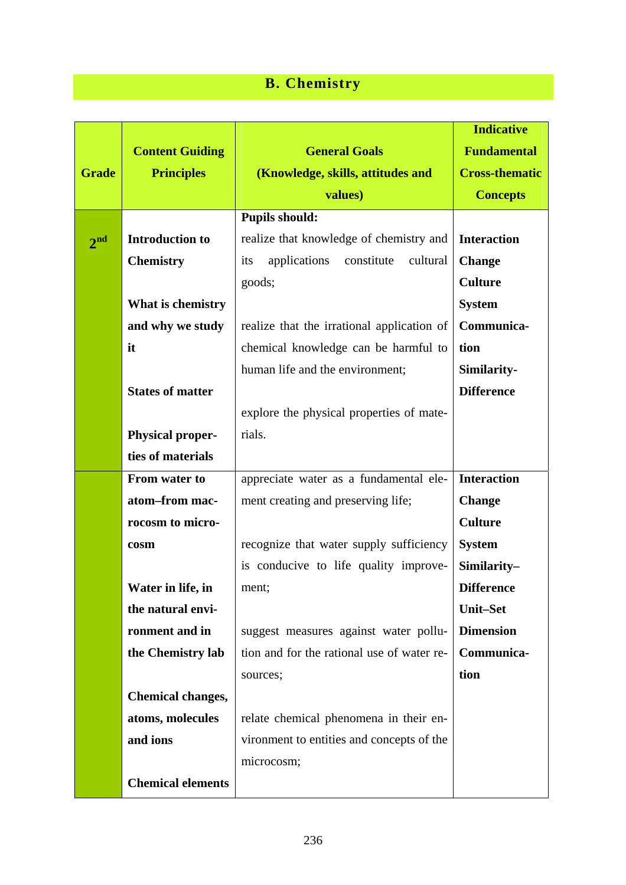## **B. Chemistry**

|                 |                          |                                               | <b>Indicative</b>     |
|-----------------|--------------------------|-----------------------------------------------|-----------------------|
|                 | <b>Content Guiding</b>   | <b>General Goals</b>                          | <b>Fundamental</b>    |
| <b>Grade</b>    | <b>Principles</b>        | (Knowledge, skills, attitudes and             | <b>Cross-thematic</b> |
|                 |                          | values)                                       | <b>Concepts</b>       |
|                 |                          | <b>Pupils should:</b>                         |                       |
| 2 <sup>nd</sup> | <b>Introduction to</b>   | realize that knowledge of chemistry and       | <b>Interaction</b>    |
|                 | <b>Chemistry</b>         | applications<br>constitute<br>cultural<br>its | <b>Change</b>         |
|                 |                          | goods;                                        | <b>Culture</b>        |
|                 | What is chemistry        |                                               | <b>System</b>         |
|                 | and why we study         | realize that the irrational application of    | Communica-            |
|                 | it                       | chemical knowledge can be harmful to          | tion                  |
|                 |                          | human life and the environment;               | Similarity-           |
|                 | <b>States of matter</b>  |                                               | <b>Difference</b>     |
|                 |                          | explore the physical properties of mate-      |                       |
|                 | <b>Physical proper-</b>  | rials.                                        |                       |
|                 | ties of materials        |                                               |                       |
|                 | From water to            | appreciate water as a fundamental ele-        | <b>Interaction</b>    |
|                 | atom-from mac-           | ment creating and preserving life;            | <b>Change</b>         |
|                 | rocosm to micro-         |                                               | <b>Culture</b>        |
|                 | cosm                     | recognize that water supply sufficiency       | <b>System</b>         |
|                 |                          | is conducive to life quality improve-         | Similarity-           |
|                 | Water in life, in        | ment;                                         | <b>Difference</b>     |
|                 | the natural envi-        |                                               | <b>Unit-Set</b>       |
|                 | ronment and in           | suggest measures against water pollu-         | <b>Dimension</b>      |
|                 | the Chemistry lab        | tion and for the rational use of water re-    | Communica-            |
|                 |                          | sources;                                      | tion                  |
|                 | <b>Chemical changes,</b> |                                               |                       |
|                 | atoms, molecules         | relate chemical phenomena in their en-        |                       |
|                 | and ions                 | vironment to entities and concepts of the     |                       |
|                 |                          | microcosm;                                    |                       |
|                 | <b>Chemical elements</b> |                                               |                       |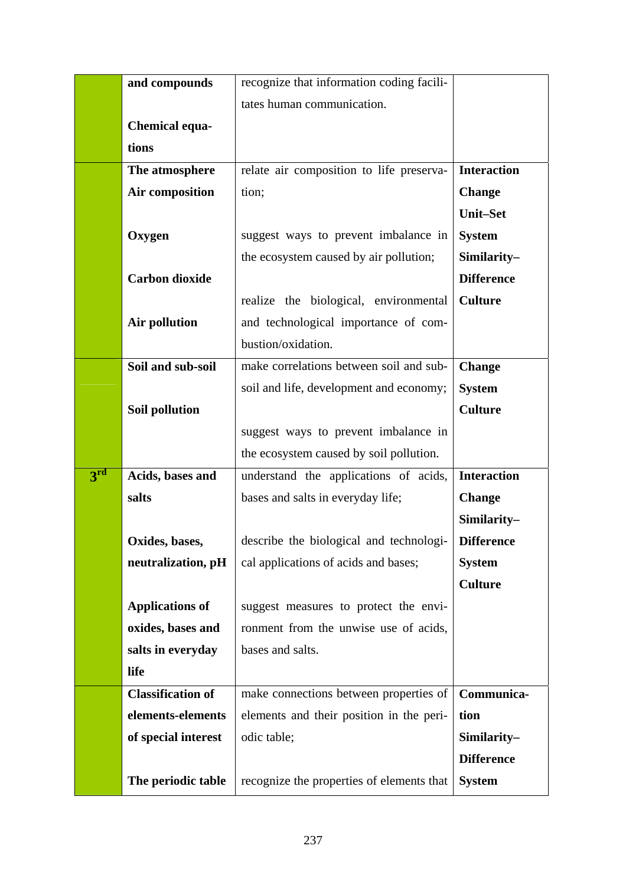|                 | and compounds            | recognize that information coding facili- |                    |
|-----------------|--------------------------|-------------------------------------------|--------------------|
|                 |                          | tates human communication.                |                    |
|                 | <b>Chemical equa-</b>    |                                           |                    |
|                 | tions                    |                                           |                    |
|                 | The atmosphere           | relate air composition to life preserva-  | <b>Interaction</b> |
|                 | Air composition          | tion;                                     | <b>Change</b>      |
|                 |                          |                                           | <b>Unit-Set</b>    |
|                 | Oxygen                   | suggest ways to prevent imbalance in      | <b>System</b>      |
|                 |                          | the ecosystem caused by air pollution;    | Similarity-        |
|                 | <b>Carbon dioxide</b>    |                                           | <b>Difference</b>  |
|                 |                          | realize the biological, environmental     | <b>Culture</b>     |
|                 | <b>Air pollution</b>     | and technological importance of com-      |                    |
|                 |                          | bustion/oxidation.                        |                    |
|                 | Soil and sub-soil        | make correlations between soil and sub-   | <b>Change</b>      |
|                 |                          | soil and life, development and economy;   | <b>System</b>      |
|                 | Soil pollution           |                                           | <b>Culture</b>     |
|                 |                          | suggest ways to prevent imbalance in      |                    |
|                 |                          | the ecosystem caused by soil pollution.   |                    |
| 3 <sup>rd</sup> | Acids, bases and         | understand the applications of acids,     | <b>Interaction</b> |
|                 | salts                    | bases and salts in everyday life;         | <b>Change</b>      |
|                 |                          |                                           | Similarity-        |
|                 | Oxides, bases,           | describe the biological and technologi-   | <b>Difference</b>  |
|                 | neutralization, pH       | cal applications of acids and bases;      | <b>System</b>      |
|                 |                          |                                           | <b>Culture</b>     |
|                 | <b>Applications of</b>   | suggest measures to protect the envi-     |                    |
|                 | oxides, bases and        | ronment from the unwise use of acids,     |                    |
|                 | salts in everyday        | bases and salts.                          |                    |
|                 | life                     |                                           |                    |
|                 | <b>Classification of</b> | make connections between properties of    | Communica-         |
|                 | elements-elements        | elements and their position in the peri-  | tion               |
|                 | of special interest      | odic table;                               | Similarity-        |
|                 |                          |                                           | <b>Difference</b>  |
|                 | The periodic table       | recognize the properties of elements that | <b>System</b>      |